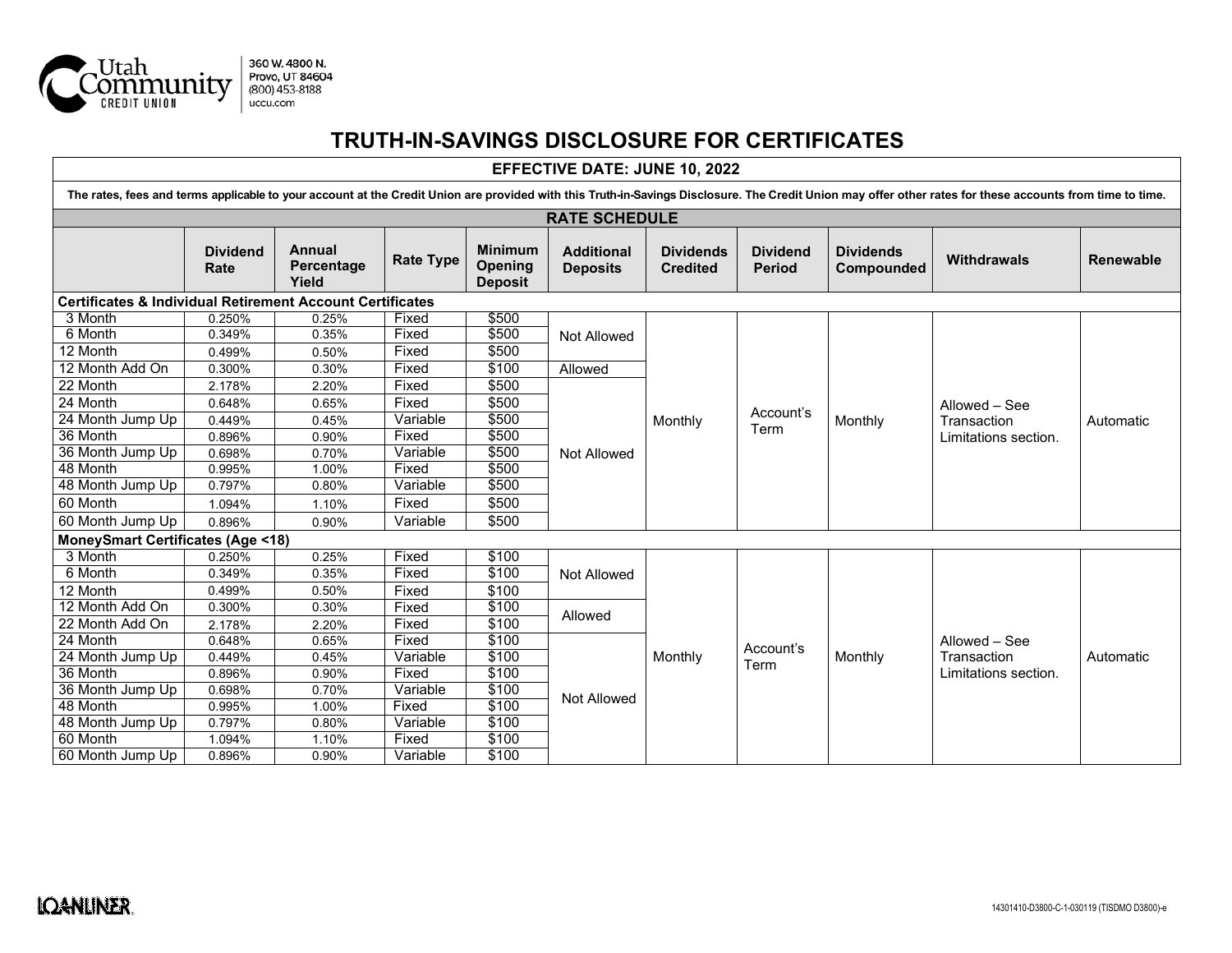

## **TRUTH-IN-SAVINGS DISCLOSURE FOR CERTIFICATES**

## **EFFECTIVE DATE: JUNE 10, 2022**

| The rates, fees and terms applicable to your account at the Credit Union are provided with this Truth-in-Savings Disclosure. The Credit Union may offer other rates for these accounts from time to time. |                         |                               |                  |                                             |                                      |                                     |                                  |                                |                                                      |                  |
|-----------------------------------------------------------------------------------------------------------------------------------------------------------------------------------------------------------|-------------------------|-------------------------------|------------------|---------------------------------------------|--------------------------------------|-------------------------------------|----------------------------------|--------------------------------|------------------------------------------------------|------------------|
| <b>RATE SCHEDULE</b>                                                                                                                                                                                      |                         |                               |                  |                                             |                                      |                                     |                                  |                                |                                                      |                  |
|                                                                                                                                                                                                           | <b>Dividend</b><br>Rate | Annual<br>Percentage<br>Yield | <b>Rate Type</b> | <b>Minimum</b><br>Opening<br><b>Deposit</b> | <b>Additional</b><br><b>Deposits</b> | <b>Dividends</b><br><b>Credited</b> | <b>Dividend</b><br><b>Period</b> | <b>Dividends</b><br>Compounded | <b>Withdrawals</b>                                   | <b>Renewable</b> |
| <b>Certificates &amp; Individual Retirement Account Certificates</b>                                                                                                                                      |                         |                               |                  |                                             |                                      |                                     |                                  |                                |                                                      |                  |
| 3 Month                                                                                                                                                                                                   | 0.250%                  | 0.25%                         | Fixed            | \$500                                       |                                      | Monthly                             | Account's<br>Term                | Monthly                        | Allowed – See<br>Transaction<br>Limitations section. | Automatic        |
| 6 Month                                                                                                                                                                                                   | 0.349%                  | 0.35%                         | Fixed            | \$500                                       | Not Allowed                          |                                     |                                  |                                |                                                      |                  |
| 12 Month                                                                                                                                                                                                  | 0.499%                  | 0.50%                         | Fixed            | \$500                                       |                                      |                                     |                                  |                                |                                                      |                  |
| 12 Month Add On                                                                                                                                                                                           | 0.300%                  | 0.30%                         | Fixed            | \$100                                       | Allowed                              |                                     |                                  |                                |                                                      |                  |
| 22 Month                                                                                                                                                                                                  | 2.178%                  | 2.20%                         | Fixed            | \$500                                       | Not Allowed                          |                                     |                                  |                                |                                                      |                  |
| 24 Month                                                                                                                                                                                                  | 0.648%                  | 0.65%                         | Fixed            | \$500                                       |                                      |                                     |                                  |                                |                                                      |                  |
| 24 Month Jump Up                                                                                                                                                                                          | 0.449%                  | 0.45%                         | Variable         | \$500                                       |                                      |                                     |                                  |                                |                                                      |                  |
| 36 Month                                                                                                                                                                                                  | 0.896%                  | 0.90%                         | Fixed            | \$500                                       |                                      |                                     |                                  |                                |                                                      |                  |
| 36 Month Jump Up                                                                                                                                                                                          | 0.698%                  | 0.70%                         | Variable         | \$500                                       |                                      |                                     |                                  |                                |                                                      |                  |
| 48 Month                                                                                                                                                                                                  | 0.995%                  | 1.00%                         | Fixed            | \$500                                       |                                      |                                     |                                  |                                |                                                      |                  |
| 48 Month Jump Up                                                                                                                                                                                          | 0.797%                  | 0.80%                         | Variable         | \$500                                       |                                      |                                     |                                  |                                |                                                      |                  |
| 60 Month                                                                                                                                                                                                  | 1.094%                  | 1.10%                         | Fixed            | \$500                                       |                                      |                                     |                                  |                                |                                                      |                  |
| 60 Month Jump Up                                                                                                                                                                                          | 0.896%                  | 0.90%                         | Variable         | \$500                                       |                                      |                                     |                                  |                                |                                                      |                  |
| <b>MoneySmart Certificates (Age &lt;18)</b>                                                                                                                                                               |                         |                               |                  |                                             |                                      |                                     |                                  |                                |                                                      |                  |
| 3 Month                                                                                                                                                                                                   | 0.250%                  | 0.25%                         | Fixed            | \$100                                       | Not Allowed                          | Monthly                             | Account's<br>Term                | Monthly                        | Allowed - See<br>Transaction<br>Limitations section. | Automatic        |
| 6 Month                                                                                                                                                                                                   | 0.349%                  | 0.35%                         | Fixed            | \$100                                       |                                      |                                     |                                  |                                |                                                      |                  |
| 12 Month                                                                                                                                                                                                  | 0.499%                  | 0.50%                         | Fixed            | \$100                                       |                                      |                                     |                                  |                                |                                                      |                  |
| 12 Month Add On                                                                                                                                                                                           | 0.300%                  | 0.30%                         | Fixed            | \$100                                       | Allowed                              |                                     |                                  |                                |                                                      |                  |
| 22 Month Add On                                                                                                                                                                                           | 2.178%                  | 2.20%                         | Fixed            | \$100                                       |                                      |                                     |                                  |                                |                                                      |                  |
| 24 Month                                                                                                                                                                                                  | 0.648%                  | 0.65%                         | Fixed            | \$100                                       | Not Allowed                          |                                     |                                  |                                |                                                      |                  |
| 24 Month Jump Up                                                                                                                                                                                          | 0.449%                  | 0.45%                         | Variable         | \$100                                       |                                      |                                     |                                  |                                |                                                      |                  |
| 36 Month                                                                                                                                                                                                  | 0.896%                  | 0.90%                         | Fixed            | \$100                                       |                                      |                                     |                                  |                                |                                                      |                  |
| 36 Month Jump Up                                                                                                                                                                                          | 0.698%                  | 0.70%                         | Variable         | \$100                                       |                                      |                                     |                                  |                                |                                                      |                  |
| 48 Month                                                                                                                                                                                                  | 0.995%                  | 1.00%                         | Fixed            | \$100                                       |                                      |                                     |                                  |                                |                                                      |                  |
| 48 Month Jump Up                                                                                                                                                                                          | 0.797%                  | 0.80%                         | Variable         | \$100                                       |                                      |                                     |                                  |                                |                                                      |                  |
| 60 Month                                                                                                                                                                                                  | 1.094%                  | 1.10%                         | Fixed            | \$100                                       |                                      |                                     |                                  |                                |                                                      |                  |
| 60 Month Jump Up                                                                                                                                                                                          | 0.896%                  | 0.90%                         | Variable         | \$100                                       |                                      |                                     |                                  |                                |                                                      |                  |